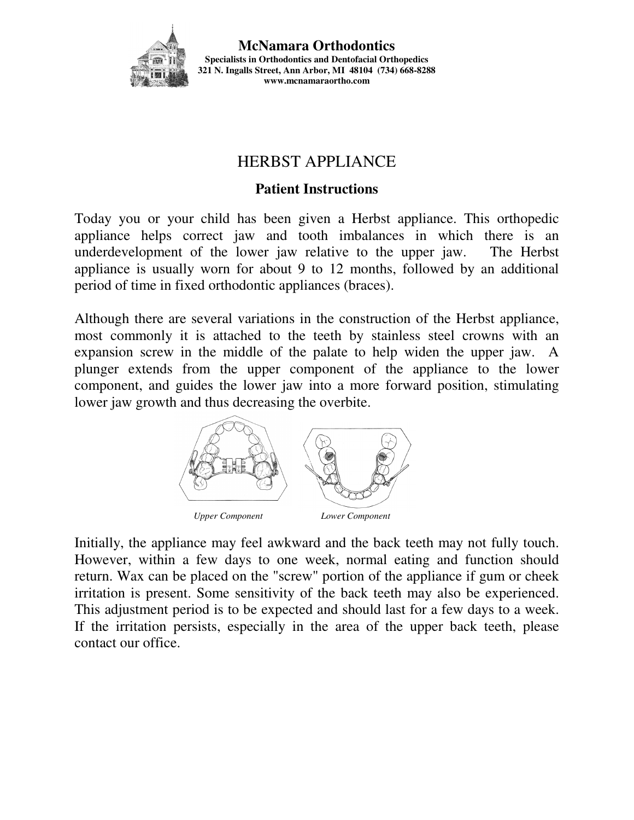

**McNamara Orthodontics Specialists in Orthodontics and Dentofacial Orthopedics 321 N. Ingalls Street, Ann Arbor, MI 48104 (734) 668-8288 www.mcnamaraortho.com** 

## HERBST APPLIANCE

## **Patient Instructions**

Today you or your child has been given a Herbst appliance. This orthopedic appliance helps correct jaw and tooth imbalances in which there is an underdevelopment of the lower jaw relative to the upper jaw. The Herbst appliance is usually worn for about 9 to 12 months, followed by an additional period of time in fixed orthodontic appliances (braces).

Although there are several variations in the construction of the Herbst appliance, most commonly it is attached to the teeth by stainless steel crowns with an expansion screw in the middle of the palate to help widen the upper jaw. A plunger extends from the upper component of the appliance to the lower component, and guides the lower jaw into a more forward position, stimulating lower jaw growth and thus decreasing the overbite.



Initially, the appliance may feel awkward and the back teeth may not fully touch. However, within a few days to one week, normal eating and function should return. Wax can be placed on the "screw" portion of the appliance if gum or cheek irritation is present. Some sensitivity of the back teeth may also be experienced. This adjustment period is to be expected and should last for a few days to a week. If the irritation persists, especially in the area of the upper back teeth, please contact our office.